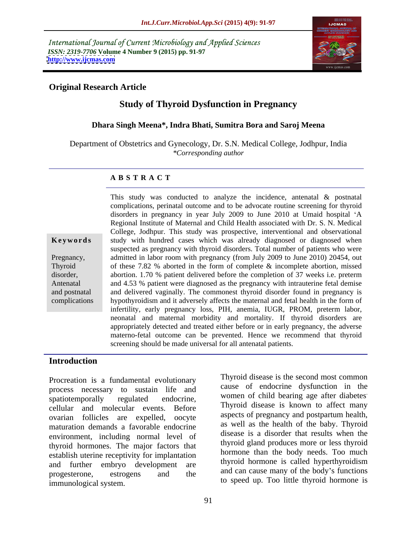International Journal of Current Microbiology and Applied Sciences *ISSN: 2319-7706* **Volume 4 Number 9 (2015) pp. 91-97 <http://www.ijcmas.com>**



## **Original Research Article**

# **Study of Thyroid Dysfunction in Pregnancy**

### **Dhara Singh Meena\*, Indra Bhati, Sumitra Bora and Saroj Meena**

Department of Obstetrics and Gynecology, Dr. S.N. Medical College, Jodhpur, India *\*Corresponding author*

### **A B S T R A C T**

complications

This study was conducted to analyze the incidence, antenatal & postnatal complications, perinatal outcome and to be advocate routine screening for thyroid disorders in pregnancy in year July 2009 to June 2010 at Umaid hospital 'A Regional Institute of Maternal and Child Health associated with Dr. S. N. Medical College, Jodhpur. This study was prospective, interventional and observational **Keywords** study with hundred cases which was already diagnosed or diagnosed when suspected as pregnancy with thyroid disorders. Total number of patients who were admitted in labor room with pregnancy (from July 2009 to June 2010) 20454, out Pregnancy, Thyroid of these 7.82 % aborted in the form of complete  $\&$  incomplete abortion, missed abortion. 1.70 % patient delivered before the completion of 37 weeksi.e. preterm disorder, Antenatal and 4.53 % patient were diagnosed as the pregnancy with intrauterine fetal demise and postnatal and delivered vaginally. The commonest thyroid disorder found in pregnancy is hypothyroidism and it adversely affects the maternal and fetal health in the form of infertility, early pregnancy loss, PIH, anemia, IUGR, PROM, preterm labor, neonatal and maternal morbidity and mortality. If thyroid disorders are appropriately detected and treated either before or in early pregnancy, the adverse materno-fetal outcome can be prevented. Hence we recommend that thyroid screening should be made universal for all antenatal patients.

### **Introduction**

process necessary to sustain life and spatiotemporally regulated endocrine, women of child bearing age after diabetes cellular and molecular events. Before ovarian follicles are expelled, oocyte maturation demands a favorable endocrine environment, including normal level of thyroid hormones. The major factors that establish uterine receptivity for implantation<br>end further embrus development are thyroid hormone is called hyperthyroidism and further embryo development are progesterone, estrogens and the and can cause many or the body situations Procreation is a fundamental evolutionary<br>
process necessary to sustain life and<br>
spatiotemporally regulated endocrine,<br>
cellular and molecular events. Before<br>
cellular and molecular events. Before<br>
ovarian follicles are e

Procreation is a fundamental evolutionary Thyroid disease is the second most common cause of endocrine dysfunction in the . *. . . . . . . . . . . . . . . . .* Thyroid disease is known to affect many aspects of pregnancy and postpartum health, as well as the health of the baby. Thyroid disease is a disorder that results when the thyroid gland produces more or less thyroid hormone than the body needs. Too much thyroid hormone is called hyperthyroidism and can cause many of the body's functions to speed up. Too little thyroid hormone is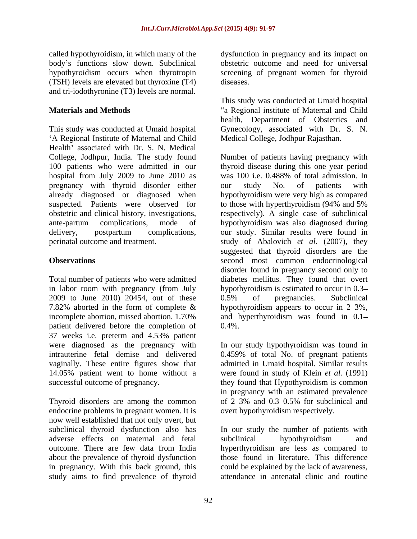body's functions slow down. Subclinical<br>hypothyroidism occurs when thyrotropin (TSH) levels are elevated but thyroxine (T4) and tri-iodothyronine (T3) levels are normal.

This study was conducted at Umaid hospital Gynecology, associated with Dr. S. N. A Regional Institute of Maternal and Child Health' associated with Dr. S. N. Medical hospital from July 2009 to June 2010 as was 100 i.e. 0.488% of total admission. In pregnancy with thyroid disorder either our study No. of patients with suspected. Patients were observed for to those with hyperthyroidism (94% and 5%)

2009 to June 2010) 20454, out of these  $0.5\%$  of pregnancies. Subclinical 7.82% aborted in the form of complete  $\&$ patient delivered before the completion of 0.4%. 37 weeks i.e. preterm and 4.53% patient were diagnosed as the pregnancy with In our study hypothyroidism was found in intrauterine fetal demise and delivered 0.459% of total No. of pregnant patients vaginally. These entire figures show that admitted in Umaid hospital. Similar results 14.05% patient went to home without a were found in study of Klein *et al.* (1991) successful outcome of pregnancy. They found that Hypothyroidism is common

Thyroid disorders are among the common of 2–3% and 0.3–0.5% for subclinical and endocrine problems in pregnant women. It is now well established that not only overt, but subclinical thyroid dysfunction also has In our study the number of patients with adverse effects on maternal and fetal outcome. There are few data from India hyperthyroidism are less as compared to about the prevalence of thyroid dysfunction in pregnancy. With this back ground, this study aims to find prevalence of thyroid

called hypothyroidism, in which many of the dysfunction in pregnancy and its impact on hypothyroidism occurs when thyrotropin screening of pregnant women for thyroid obstetric outcome and need for universal diseases.

**Materials and Methods and Methods and Child and Child and Child and Child and Child and Child and Child and Child and Child and Child and Child and Child and Child and Child and Child and** This study was conducted at Umaid hospital health, Department of Obstetrics and Medical College, Jodhpur Rajasthan.

College, Jodhpur, India. The study found Number of patients having pregnancy with 100 patients who were admitted in our thyroid disease during this one year period already diagnosed or diagnosed when hypothyroidism were very high as compared obstetric and clinical history, investigations, respectively). A single case of subclinical ante-partum complications, mode of hypothyroidism was also diagnosed during delivery, postpartum complications, our study. Similar results were found in perinatal outcome and treatment. study of Abalovich *et al.* (2007), they **Observations** second most common endocrinological Total number of patients who were admitted diabetes mellitus. They found that overt in labor room with pregnancy (from July hypothyroidism is estimated to occur in 0.3 incomplete abortion, missed abortion. 1.70% and hyperthyroidism was found in 0.1 was 100 i.e. 0.488% of total admission.In our study No. of patients with to those with hyperthyroidism (94% and 5% suggested that thyroid disorders are the disorder found in pregnancy second only to 0.5% of pregnancies. Subclinical hypothyroidism appears to occur in  $2-3\%$ .  $0.4\%$ .

> in pregnancy with an estimated prevalence of  $2-3\%$  and  $0.3-0.5\%$  for subclinical and overt hypothyroidism respectively.

subclinical hypothyroidism and those found in literature. This difference could be explained by the lack of awareness, attendance in antenatal clinic and routine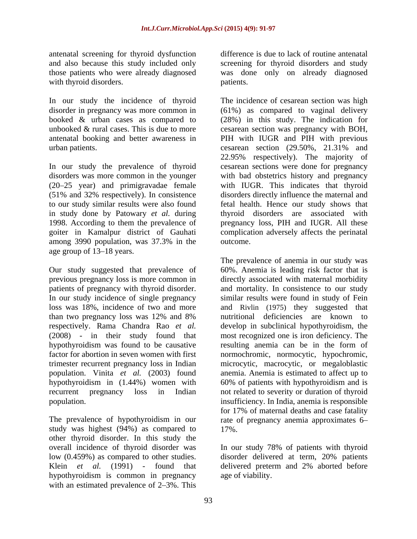antenatal screening for thyroid dysfunction with thyroid disorders. patients.

In our study the incidence of thyroid

In our study the prevalence of thyroid (20 25 year) and primigravadae female in study done by Patowary *et al.* during among 3990 population, was 37.3% in the outcome.<br>age group of 13–18 years. age group of 13–18 years.

previous pregnancy loss is more common in than two pregnancy loss was 12% and 8% hypothyroidism was found to be causative resulting anemia can be in the form of population. Vinita *et al.* (2003) found

study was highest (94%) as compared to 17%. other thyroid disorder. In this study the overall incidence of thyroid disorder was In our study 78% of patients with thyroid low (0.459%) as compared to other studies. disorder delivered at term, 20% patients Klein *et al.* (1991) - found that delivered preterm and 2% aborted before hypothyroidism is common in pregnancy with an estimated prevalence of  $2-3\%$ . This

and also because this study included only screening for thyroid disorders and study those patients who were already diagnosed was done only on already diagnosed difference is due to lack of routine antenatal patients.

disorder in pregnancy was more common in (61%) as compared to vaginal delivery booked & urban cases as compared to (28%) in this study. The indication for unbooked & rural cases. This is due to more cesarean section was pregnancy with BOH, antenatal booking and better awareness in PIH with IUGR and PIH with previous urban patients. cesarean section (29.50%, 21.31% and disorders was more common in the younger with bad obstetrics history and pregnancy (51% and 32% respectively). In consistence disorders directly influence the maternal and to our study similar results were also found fetal health. Hence our study shows that 1998. According to them the prevalence of pregnancy loss, PIH and IUGR. All these goiter in Kamalpur district of Gauhati complication adversely affects the perinatal The incidence of cesarean section was high 22.95% respectively). The majority of cesarean sections were done for pregnancy with IUGR. This indicates that thyroid thyroid disorders are associated with outcome.

Our study suggested that prevalence of 60%. Anemia is leading risk factor that is patients of pregnancy with thyroid disorder. and mortality. In consistence to our study In our study incidence of single pregnancy similar results were found in study of Fein loss was 18%, incidence of two and more and Rivlin (1975) they suggested that respectively. Rama Chandra Rao *et al.* develop in subclinical hypothyroidism, the (2008) - in their study found that most recognized one is iron deficiency. The factor for abortion in seven women with first normochromic, normocytic, hypochromic, trimester recurrent pregnancy loss in Indian microcytic, macrocytic, or megaloblastic hypothyroidism in (1.44%) women with 60% of patients with hypothyroidism and is recurrent pregnancy loss in Indian not related to severity or duration of thyroid population. insufficiency. In India, anemia is responsible The prevalence of hypothyroidism in our rate of pregnancy anemia approximates 6 The prevalence of anemia in our study was directly associated with maternal morbidity nutritional deficiencies are known to resulting anemia can be in the form of anemia. Anemia is estimated to affect up to for 17% of maternal deaths and case fatality 17%.

age of viability.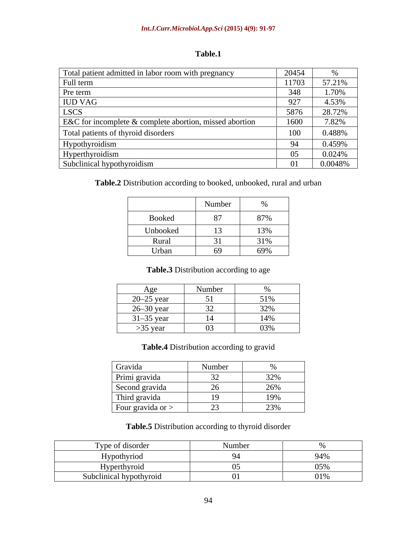| Table.1 |  |
|---------|--|
|---------|--|

| 20454 |         |
|-------|---------|
|       |         |
| 11703 | 57.21%  |
|       | 1.70%   |
|       | 4.53%   |
| 5876  | 28.72%  |
| 1600  | 7.82%   |
|       | 0.488%  |
|       | 0.459%  |
|       | 0.024%  |
|       | 0.0048% |
|       |         |

**Table.2** Distribution according to booked, unbooked, rural and urban

|              | Number                                                     | $\sim$ $\sim$ |
|--------------|------------------------------------------------------------|---------------|
| Booked       | Q7                                                         | 87%           |
| Unbooked     | $\overline{12}$<br>$\overline{1}$                          | 13%           |
| <b>Rural</b> | $\sim$ 0.4<br>the control of the control of the control of | 31%           |
| Urban        | 69                                                         | 69%           |

# **Table.3** Distribution according to age

| Age                                    | Numbor                                                                                                                                    | $\overline{\phantom{a}}$                                                                                               |
|----------------------------------------|-------------------------------------------------------------------------------------------------------------------------------------------|------------------------------------------------------------------------------------------------------------------------|
| $20-25$ year                           | $\epsilon$ 1                                                                                                                              | 51%                                                                                                                    |
| $26-30$ year                           | $\sim$ $\sim$<br>$\overline{\phantom{a}}$                                                                                                 | 200 <sup>4</sup><br>$52\%$                                                                                             |
| $31-35$ year                           | 14                                                                                                                                        | 14%                                                                                                                    |
| $>35$ year<br>$\overline{\phantom{a}}$ | $\sim$<br>$\mathbf{U}$<br>the contract of the contract of the contract of the contract of the contract of the contract of the contract of | 03%<br>the contract of the contract of the contract of the contract of the contract of the contract of the contract of |

# **Table.4** Distribution according to gravid

| Gravida             | Number         |                                 |
|---------------------|----------------|---------------------------------|
| Primi gravida       | $\mathcal{L}$  | 220 <sup>2</sup><br>$U \sim 70$ |
| Second gravida      | $\sim$         | 200 <sub>1</sub><br>20/0        |
| Third gravida       | $\sim$         | 19%                             |
| Four gravida or $>$ | $\sim$<br>ں کے | 220'<br>$\angle$ 3 70           |

**Table.5** Distribution according to thyroid disorder

| مصدحا<br>ype of afsorder     |              |                   |
|------------------------------|--------------|-------------------|
| ' ' ' ' ''∪UII ' I I ∪ ←     |              | $\sim$ 1.01       |
| 1 V L J C L L                |              |                   |
| .<br>Subclinical hypothyroid | $\mathbf{A}$ | 0.101<br>$0 + 70$ |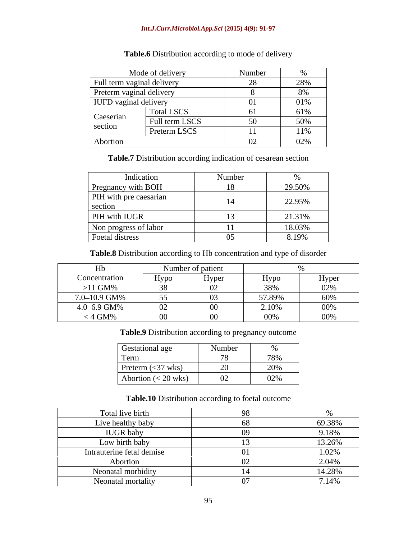#### *Int.J.Curr.Microbiol.App.Sci* **(2015) 4(9): 91-97**

|                                                | Mode of delivery | Number   |     |
|------------------------------------------------|------------------|----------|-----|
| Full term vaginal delivery                     |                  |          |     |
| Preterm vaginal delivery                       |                  |          |     |
| IUFD vaginal delivery                          |                  |          | 01% |
|                                                | Total LSCS       |          | 61% |
| Caeserian<br><b>Contract Contract Contract</b> | Full term LSCS   |          |     |
| section                                        | Preterm LSCS     |          | 11% |
| Abortion                                       |                  | $\Omega$ | 02% |

# **Table.6** Distribution according to mode of delivery

**Table.7** Distribution according indication of cesarean section

| Indication                        | Number |        |
|-----------------------------------|--------|--------|
| Pregnancy with BOH                |        | 29.50% |
| PIH with pre caesarian<br>section |        | 22.95% |
| PIH with IUGR                     |        | 21.31% |
| Non progress of labor             |        | 18.03% |
| Foetal distress                   |        | 8.19%  |

**Table.8** Distribution according to Hb concentration and type of disorder

|               |             | Number of patient        |                                  |                                                                                  |
|---------------|-------------|--------------------------|----------------------------------|----------------------------------------------------------------------------------|
| Concentration | <b>Hypo</b> | Hyper<br>$\cdot$ $\cdot$ | dvno<br>$\overline{\phantom{a}}$ | Hyper<br>$\overline{\phantom{a}}$                                                |
| $>11$ GM%     | $\Omega$    | $\Lambda$                | 00، 2<br>$  -$                   | 0.201<br>$U = 70$<br><u> 1989 - Johann Stoff, amerikansk politiker (d. 1989)</u> |
| 7.0–10.9 GM%  | 55<br>JJ.   | $\Omega$                 | 57.89%                           | 60%                                                                              |
| 4.0-6.9 GM%   | $\Omega$    |                          | 2.10%                            | 00%                                                                              |
| $< 4$ GM%     | $\Omega$    |                          | 00%                              | 00%                                                                              |

**Table.9** Distribution according to pregnancy outcome

| <b>Gestational age</b>                               | $\mathbf{X}$<br>mhai<br>TAMITION | $\sim$ $\sim$                         |
|------------------------------------------------------|----------------------------------|---------------------------------------|
| Term                                                 | $\overline{a}$<br>$\sqrt{2}$     | 78%                                   |
| Preterm $(\leq 37$ wks)                              | $\Omega$                         | $\sim$ $\sim$ $\sim$<br>$\angle U$ /0 |
| $\sim$ $\sim$ $\sim$ $\sim$<br>Abortion $(< 20$ wks) | $\Omega$<br>∪∠ —<br>$-$          | $\theta$<br>$U\omega$ /0              |

## **Table.10** Distribution according to foetal outcome

| Total live birth          |        |
|---------------------------|--------|
|                           |        |
| Live healthy baby         | 69.38% |
| <b>IUGR</b> baby          | 9.18%  |
| Low birth baby            | 13.26% |
| Intrauterine fetal demise | 1.02%  |
| Abortion                  | 2.04%  |
| Neonatal morbidity        | 14.28% |
| Neonatal mortality        | 7.14%  |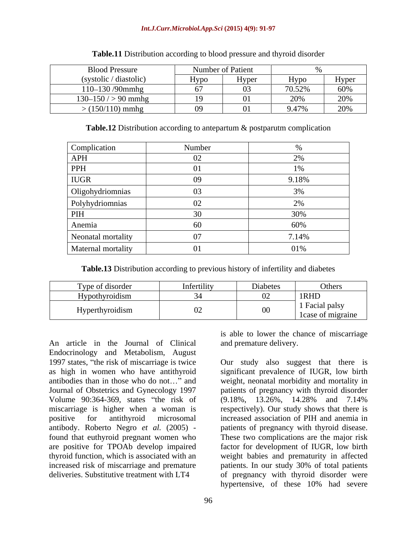#### *Int.J.Curr.Microbiol.App.Sci* **(2015) 4(9): 91-97**

| <b>Blood Pressure</b>  |                         | Number of Patient |              |                    |
|------------------------|-------------------------|-------------------|--------------|--------------------|
| (systolic / diastolic) | Hypo                    | Hyper             | <b>H</b> vpo | Hyper<br>$\cdot$ . |
| 110-130 /90mmhg        |                         |                   | 70.520       | 60%                |
| $130-150$ / > 90 mmhg  | $\overline{\mathbf{1}}$ |                   | $\sim$       | റ∩റ⁄               |
| $>(150/110)$ mmhg      |                         |                   | 9.47%        | 20%                |

#### **Table.11** Distribution according to blood pressure and thyroid disorder

**Table.12** Distribution according to antepartum & postparutm complication

| Complication       | Number     |       |
|--------------------|------------|-------|
| APH                |            |       |
| PPH                |            |       |
| <b>IUGR</b>        |            | 9.18% |
| Oligohydriomnias   |            |       |
| Polyhydriomnias    | ഹ          |       |
| <b>PIH</b>         |            | 30%   |
| Anemia             |            | 60%   |
| Neonatal mortality |            | 7.14% |
| Maternal mortality | $\Omega$ 1 | 01%   |

**Table.13** Distribution according to previous history of infertility and diabetes

| Type of disorder | Infertilit | Diabetes | Others                               |
|------------------|------------|----------|--------------------------------------|
| Hypothyroidism   |            |          | 1RHD                                 |
| Hyperthyroidism  |            | $00\,$   | 1 Facial palsy<br>l case of migraine |

An article in the Journal of Clinical Endocrinology and Metabolism, August 1997 states, "the risk of miscarriage is twice as high in women who have antithyroid significant prevalence of IUGR, low birth antibodies than in those who do not..." and weight, neonatal morbidity and mortality in Journal of Obstetrics and Gynecology 1997 patients of pregnancy with thyroid disorder Volume 90:364-369, states "the risk of (9.18%, 13.26%, 14.28% and 7.14% miscarriage is higher when a woman is positive for antithyroid microsomal increased association of PIH and anemia in antibody. Roberto Negro *et al.* (2005) - patients of pregnancy with thyroid disease. found that euthyroid pregnant women who are positive for TPOAb develop impaired factor for development of IUGR, low birth thyroid function, which is associated with an weight babies and prematurity in affected increased risk of miscarriage and premature patients. In our study 30% of total patients

is able to lower the chance of miscarriage and premature delivery.

deliveries. Substitutive treatment with LT4 of pregnancy with thyroid disorder were Our study also suggest that there is (9.18%, 13.26%, 14.28% and 7.14% respectively). Our study shows that there is These two complications are the major risk hypertensive, of these 10% had severe